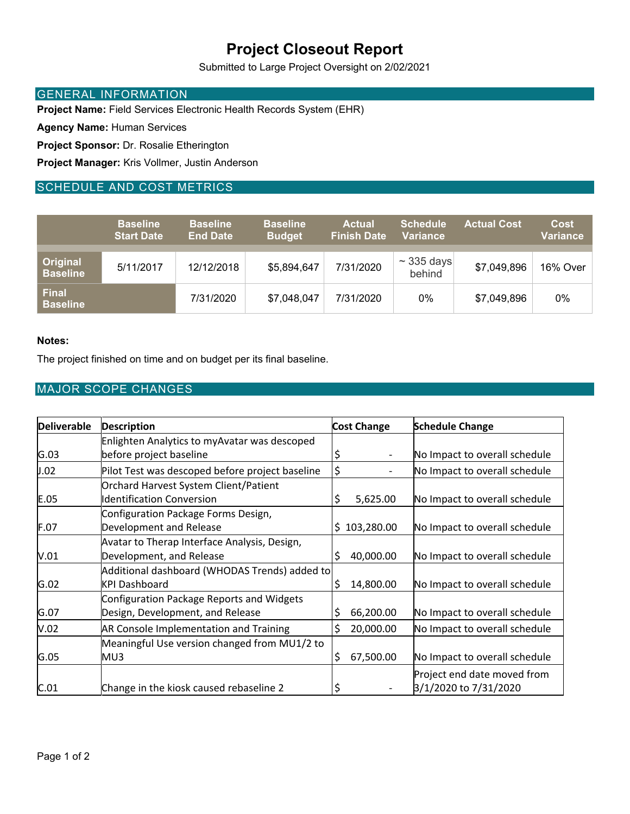# **Project Closeout Report**

Submitted to Large Project Oversight on 2/02/2021

### GENERAL INFORMATION

**Project Name:** Field Services Electronic Health Records System (EHR)

**Agency Name:** Human Services

**Project Sponsor:** Dr. Rosalie Etherington

**Project Manager:** Kris Vollmer, Justin Anderson

## SCHEDULE AND COST METRICS

|                                 | <b>Baseline</b><br><b>Start Date</b> | <b>Baseline</b><br><b>End Date</b> | <b>Baseline</b><br><b>Budget</b> | <b>Actual</b><br><b>Finish Date</b> | <b>Schedule</b><br><b>Variance</b> | <b>Actual Cost</b> | <b>Cost</b><br>Variance |
|---------------------------------|--------------------------------------|------------------------------------|----------------------------------|-------------------------------------|------------------------------------|--------------------|-------------------------|
| Original<br><b>Baseline</b>     | 5/11/2017                            | 12/12/2018                         | \$5,894,647                      | 7/31/2020                           | $\sim$ 335 days<br>behind          | \$7,049,896        | 16% Over                |
| <b>Final</b><br><b>Baseline</b> |                                      | 7/31/2020                          | \$7,048,047                      | 7/31/2020                           | 0%                                 | \$7,049,896        | 0%                      |

#### **Notes:**

The project finished on time and on budget per its final baseline.

### MAJOR SCOPE CHANGES

| <b>Deliverable</b> | <b>Description</b>                              | <b>Cost Change</b> | <b>Schedule Change</b>        |
|--------------------|-------------------------------------------------|--------------------|-------------------------------|
|                    | Enlighten Analytics to myAvatar was descoped    |                    |                               |
| G.03               | before project baseline                         | \$                 | No Impact to overall schedule |
| J.02               | Pilot Test was descoped before project baseline | \$                 | No Impact to overall schedule |
|                    | Orchard Harvest System Client/Patient           |                    |                               |
| E.05               | <b>Identification Conversion</b>                | \$<br>5,625.00     | No Impact to overall schedule |
|                    | Configuration Package Forms Design,             |                    |                               |
| F.07               | Development and Release                         | 103,280.00<br>S    | No Impact to overall schedule |
|                    | Avatar to Therap Interface Analysis, Design,    |                    |                               |
| V.01               | Development, and Release                        | \$<br>40,000.00    | No Impact to overall schedule |
|                    | Additional dashboard (WHODAS Trends) added to   |                    |                               |
| G.02               | <b>KPI Dashboard</b>                            | \$<br>14,800.00    | No Impact to overall schedule |
|                    | Configuration Package Reports and Widgets       |                    |                               |
| G.07               | Design, Development, and Release                | \$<br>66,200.00    | No Impact to overall schedule |
| V.02               | <b>AR Console Implementation and Training</b>   | \$<br>20,000.00    | No Impact to overall schedule |
|                    | Meaningful Use version changed from MU1/2 to    |                    |                               |
| G.05               | MU3                                             | \$<br>67,500.00    | No Impact to overall schedule |
|                    |                                                 |                    | Project end date moved from   |
| C.01               | Change in the kiosk caused rebaseline 2         | \$                 | 3/1/2020 to 7/31/2020         |